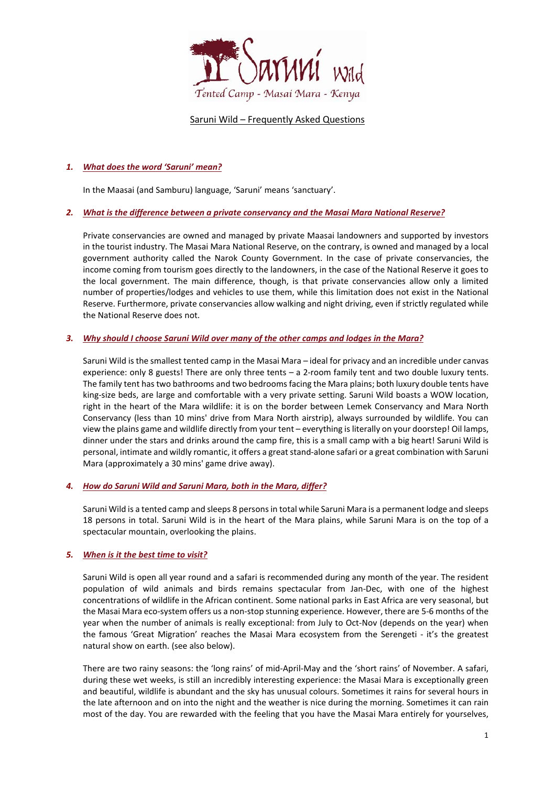

Saruni Wild – Frequently Asked Questions

# *1. What does the word 'Saruni' mean?*

In the Maasai (and Samburu) language, 'Saruni' means 'sanctuary'.

# *2. What is the difference between a private conservancy and the Masai Mara National Reserve?*

Private conservancies are owned and managed by private Maasai landowners and supported by investors in the tourist industry. The Masai Mara National Reserve, on the contrary, is owned and managed by a local government authority called the Narok County Government. In the case of private conservancies, the income coming from tourism goes directly to the landowners, in the case of the National Reserve it goes to the local government. The main difference, though, is that private conservancies allow only a limited number of properties/lodges and vehicles to use them, while this limitation does not exist in the National Reserve. Furthermore, private conservancies allow walking and night driving, even if strictly regulated while the National Reserve does not.

# *3. Why should I choose Saruni Wild over many of the other camps and lodges in the Mara?*

Saruni Wild is the smallest tented camp in the Masai Mara – ideal for privacy and an incredible under canvas experience: only 8 guests! There are only three tents – a 2-room family tent and two double luxury tents. The family tent has two bathrooms and two bedrooms facing the Mara plains; both luxury double tents have king-size beds, are large and comfortable with a very private setting. Saruni Wild boasts a WOW location, right in the heart of the Mara wildlife: it is on the border between Lemek Conservancy and Mara North Conservancy (less than 10 mins' drive from Mara North airstrip), always surrounded by wildlife. You can view the plains game and wildlife directly from your tent – everything is literally on your doorstep! Oil lamps, dinner under the stars and drinks around the camp fire, this is a small camp with a big heart! Saruni Wild is personal, intimate and wildly romantic, it offers a great stand-alone safari or a great combination with Saruni Mara (approximately a 30 mins' game drive away).

# *4. How do Saruni Wild and Saruni Mara, both in the Mara, differ?*

Saruni Wild is a tented camp and sleeps 8 persons in total while Saruni Mara is a permanent lodge and sleeps 18 persons in total. Saruni Wild is in the heart of the Mara plains, while Saruni Mara is on the top of a spectacular mountain, overlooking the plains.

# *5. [When](http://www.sarunimara.com/questions/2.htm) is it the best time to visit?*

Saruni Wild is open all year round and a safari is recommended during any month of the year. The resident population of wild animals and birds remains spectacular from Jan-Dec, with one of the highest concentrations of wildlife in the African continent. Some national parks in East Africa are very seasonal, but the Masai Mara eco-system offers us a non-stop stunning experience. However, there are 5-6 months of the year when the number of animals is really exceptional: from July to Oct-Nov (depends on the year) when the famous 'Great Migration' reaches the Masai Mara ecosystem from the Serengeti - it's the greatest natural show on earth. (see also below).

There are two rainy seasons: the 'long rains' of mid-April-May and the 'short rains' of November. A safari, during these wet weeks, is still an incredibly interesting experience: the Masai Mara is exceptionally green and beautiful, wildlife is abundant and the sky has unusual colours. Sometimes it rains for several hours in the late afternoon and on into the night and the weather is nice during the morning. Sometimes it can rain most of the day. You are rewarded with the feeling that you have the Masai Mara entirely for yourselves,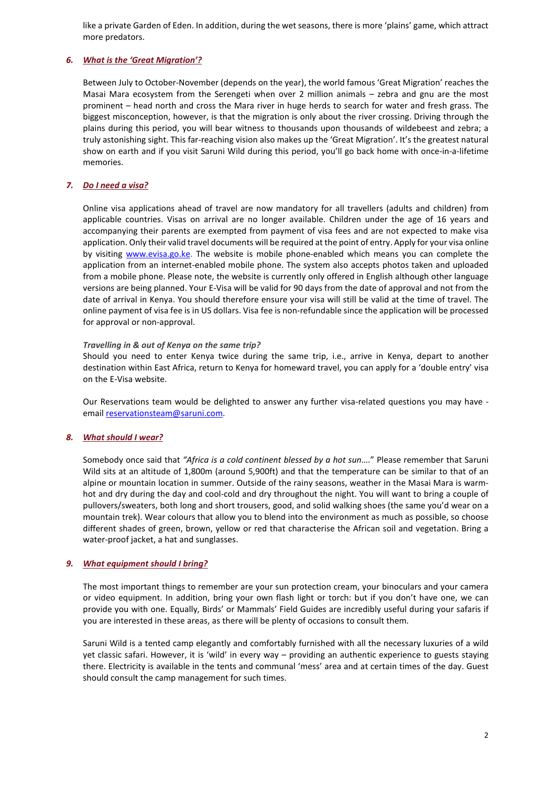like a private Garden of Eden. In addition, during the wet seasons, there is more 'plains' game, which attract more predators.

# *6. What is the 'Great Migration'?*

Between July to October-November (depends on the year), the world famous 'Great Migration' reaches the Masai Mara ecosystem from the Serengeti when over 2 million animals – zebra and gnu are the most prominent – head north and cross the Mara river in huge herds to search for water and fresh grass. The biggest misconception, however, is that the migration is only about the river crossing. Driving through the plains during this period, you will bear witness to thousands upon thousands of wildebeest and zebra; a truly astonishing sight. This far-reaching vision also makes up the 'Great Migration'. It's the greatest natural show on earth and if you visit Saruni Wild during this period, you'll go back home with once-in-a-lifetime memories.

# *7. Do I need a visa?*

Online visa applications ahead of travel are now mandatory for all travellers (adults and children) from applicable countries. Visas on arrival are no longer available. Children under the age of 16 years and accompanying their parents are exempted from payment of visa fees and are not expected to make visa application. Only their valid travel documents will be required at the point of entry. Apply for your visa online by visiting [www.evisa.go.ke.](http://www.evisa.go.ke/) The website is mobile phone-enabled which means you can complete the application from an internet-enabled mobile phone. The system also accepts photos taken and uploaded from a mobile phone. Please note, the website is currently only offered in English although other language versions are being planned. Your E-Visa will be valid for 90 days from the date of approval and not from the date of arrival in Kenya. You should therefore ensure your visa will still be valid at the time of travel. The online payment of visa fee is in US dollars. Visa fee is non-refundable since the application will be processed for approval or non-approval.

# *Travelling in & out of Kenya on the same trip?*

Should you need to enter Kenya twice during the same trip, i.e., arrive in Kenya, depart to another destination within East Africa, return to Kenya for homeward travel, you can apply for a 'double entry' visa on the E-Visa website.

Our Reservations team would be delighted to answer any further visa-related questions you may have emai[l reservationsteam@saruni.com.](mailto:reservationsteam@saruni.com)

# *8. What [should](http://www.sarunimara.com/questions/3.htm) I wear?*

Somebody once said that *"Africa is a cold continent blessed by a hot sun*…." Please remember that Saruni Wild sits at an altitude of 1,800m (around 5,900ft) and that the temperature can be similar to that of an alpine or mountain location in summer. Outside of the rainy seasons, weather in the Masai Mara is warmhot and dry during the day and cool-cold and dry throughout the night. You will want to bring a couple of pullovers/sweaters, both long and short trousers, good, and solid walking shoes (the same you'd wear on a mountain trek). Wear colours that allow you to blend into the environment as much as possible, so choose different shades of green, brown, yellow or red that characterise the African soil and vegetation. Bring a water-proof jacket, a hat and sunglasses.

# *9. What [equipment](http://www.sarunimara.com/questions/4.htm) should I bring?*

The most important things to remember are your sun protection cream, your binoculars and your camera or video equipment. In addition, bring your own flash light or torch: but if you don't have one, we can provide you with one. Equally, Birds' or Mammals' Field Guides are incredibly useful during your safaris if you are interested in these areas, as there will be plenty of occasions to consult them.

Saruni Wild is a tented camp elegantly and comfortably furnished with all the necessary luxuries of a wild yet classic safari. However, it is 'wild' in every way – providing an authentic experience to guests staying there. Electricity is available in the tents and communal 'mess' area and at certain times of the day. Guest should consult the camp management for such times.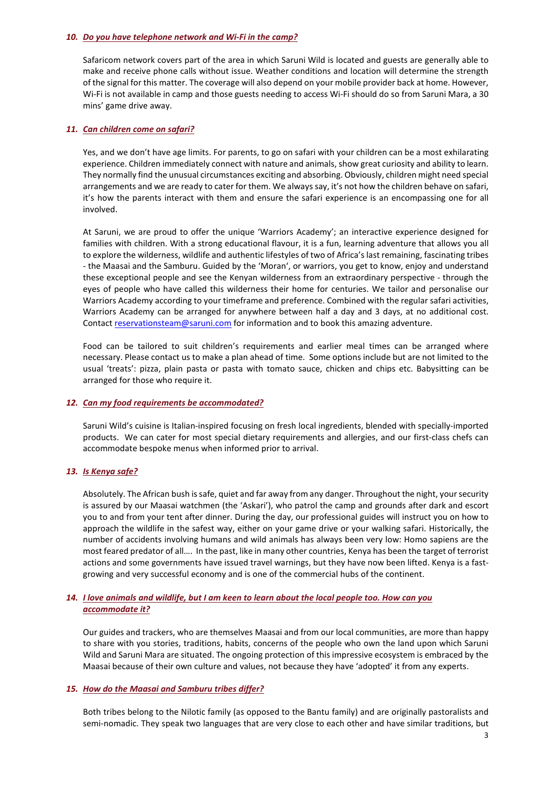### *10. Do you have telephone network and Wi-Fi in the camp?*

Safaricom network covers part of the area in which Saruni Wild is located and guests are generally able to make and receive phone calls without issue. Weather conditions and location will determine the strength of the signal for this matter. The coverage will also depend on your mobile provider back at home. However, Wi-Fi is not available in camp and those guests needing to access Wi-Fi should do so from Saruni Mara, a 30 mins' game drive away.

### *11. Can [children](http://www.sarunimara.com/questions/6.htm) come on safari?*

Yes, and we don't have age limits. For parents, to go on safari with your children can be a most exhilarating experience. Children immediately connect with nature and animals, show great curiosity and ability to learn. They normally find the unusual circumstances exciting and absorbing. Obviously, children might need special arrangements and we are ready to cater for them. We always say, it's not how the children behave on safari, it's how the parents interact with them and ensure the safari experience is an encompassing one for all involved.

At Saruni, we are proud to offer the unique 'Warriors Academy'; an interactive experience designed for families with children. With a strong educational flavour, it is a fun, learning adventure that allows you all to explore the wilderness, wildlife and authentic lifestyles of two of Africa's last remaining, fascinating tribes - the Maasai and the Samburu. Guided by the 'Moran', or warriors, you get to know, enjoy and understand these exceptional people and see the Kenyan wilderness from an extraordinary perspective - through the eyes of people who have called this wilderness their home for centuries. We tailor and personalise our Warriors Academy according to your timeframe and preference. Combined with the regular safari activities, Warriors Academy can be arranged for anywhere between half a day and 3 days, at no additional cost. Contac[t reservationsteam@saruni.com](mailto:reservationsteam@saruni.com) for information and to book this amazing adventure.

Food can be tailored to suit children's requirements and earlier meal times can be arranged where necessary. Please contact us to make a plan ahead of time. Some options include but are not limited to the usual 'treats': pizza, plain pasta or pasta with tomato sauce, chicken and chips etc. Babysitting can be arranged for those who require it.

# *12. Can my food requirements be [accommodated?](http://www.sarunimara.com/questions/7.htm)*

Saruni Wild's cuisine is Italian-inspired focusing on fresh local ingredients, blended with specially-imported products. We can cater for most special dietary requirements and allergies, and our first-class chefs can accommodate bespoke menus when informed prior to arrival.

# *13. Is [Kenya](http://www.sarunimara.com/questions/1.htm) safe?*

Absolutely. The African bush is safe, quiet and far away from any danger. Throughout the night, your security is assured by our Maasai watchmen (the 'Askari'), who patrol the camp and grounds after dark and escort you to and from your tent after dinner. During the day, our professional guides will instruct you on how to approach the wildlife in the safest way, either on your game drive or your walking safari. Historically, the number of accidents involving humans and wild animals has always been very low: Homo sapiens are the most feared predator of all…. In the past, like in many other countries, Kenya has been the target of terrorist actions and some governments have issued travel warnings, but they have now been lifted. Kenya is a fastgrowing and very successful economy and is one of the commercial hubs of the continent.

# 14. I love animals and wildlife, but I am keen to learn about the local people too. How can you *accommodate it?*

Our guides and trackers, who are themselves Maasai and from our local communities, are more than happy to share with you stories, traditions, habits, concerns of the people who own the land upon which Saruni Wild and Saruni Mara are situated. The ongoing protection of this impressive ecosystem is embraced by the Maasai because of their own culture and values, not because they have 'adopted' it from any experts.

# *15. How do the Maasai and Samburu tribes differ?*

Both tribes belong to the Nilotic family (as opposed to the Bantu family) and are originally pastoralists and semi-nomadic. They speak two languages that are very close to each other and have similar traditions, but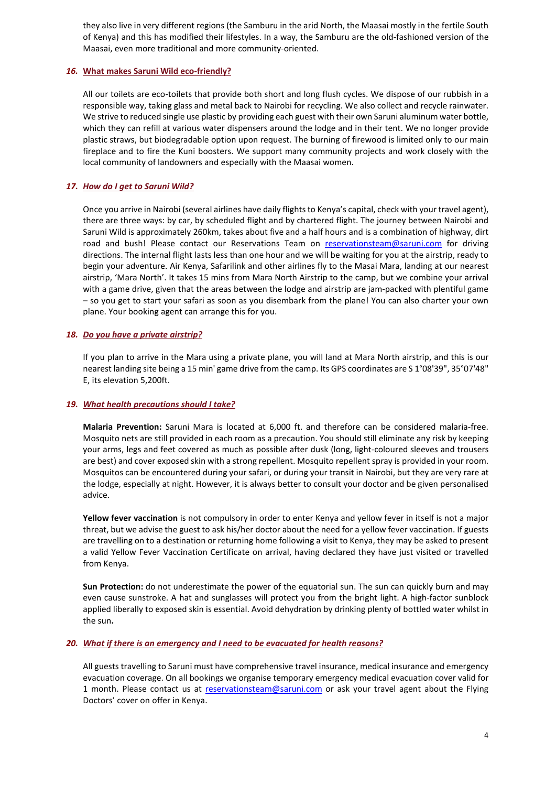they also live in very different regions (the Samburu in the arid North, the Maasai mostly in the fertile South of Kenya) and this has modified their lifestyles. In a way, the Samburu are the old-fashioned version of the Maasai, even more traditional and more community-oriented.

### *16.* **What makes Saruni Wild [eco-friendly?](http://www.sarunimara.com/questions/9.htm)**

All our toilets are eco-toilets that provide both short and long flush cycles. We dispose of our rubbish in a responsible way, taking glass and metal back to Nairobi for recycling. We also collect and recycle rainwater. We strive to reduced single use plastic by providing each guest with their own Saruni aluminum water bottle, which they can refill at various water dispensers around the lodge and in their tent. We no longer provide plastic straws, but biodegradable option upon request. The burning of firewood is limited only to our main fireplace and to fire the Kuni boosters. We support many community projects and work closely with the local community of landowners and especially with the Maasai women.

### *17. How do I get to Saruni Wild?*

Once you arrive in Nairobi (several airlines have daily flights to Kenya's capital, check with your travel agent), there are three ways: by car, by scheduled flight and by chartered flight. The journey between Nairobi and Saruni Wild is approximately 260km, takes about five and a half hours and is a combination of highway, dirt road and bush! Please contact our Reservations Team on [reservationsteam@saruni.com](mailto:reservationsteam@saruni.com) for driving directions. The internal flight lasts less than one hour and we will be waiting for you at the airstrip, ready to begin your adventure. Air Kenya, Safarilink and other airlines fly to the Masai Mara, landing at our nearest airstrip, 'Mara North'. It takes 15 mins from Mara North Airstrip to the camp, but we combine your arrival with a game drive, given that the areas between the lodge and airstrip are jam-packed with plentiful game – so you get to start your safari as soon as you disembark from the plane! You can also charter your own plane. Your booking agent can arrange this for you.

### *18. Do you have a private [airstrip?](http://www.sarunimara.com/questions/11.htm)*

If you plan to arrive in the Mara using a private plane, you will land at Mara North airstrip, and this is our nearest landing site being a 15 min' game drive from the camp. Its GPS coordinates are S 1°08'39", 35°07'48" E, its elevation 5,200ft.

#### *19. What health [precautions](http://www.sarunimara.com/questions/12.htm) should I take?*

**Malaria Prevention:** Saruni Mara is located at 6,000 ft. and therefore can be considered malaria-free. Mosquito nets are still provided in each room as a precaution. You should still eliminate any risk by keeping your arms, legs and feet covered as much as possible after dusk (long, light-coloured sleeves and trousers are best) and cover exposed skin with a strong repellent. Mosquito repellent spray is provided in your room. Mosquitos can be encountered during your safari, or during your transit in Nairobi, but they are very rare at the lodge, especially at night. However, it is always better to consult your doctor and be given personalised advice.

**Yellow fever vaccination** is not compulsory in order to enter Kenya and yellow fever in itself is not a major threat, but we advise the guest to ask his/her doctor about the need for a yellow fever vaccination. If guests are travelling on to a destination or returning home following a visit to Kenya, they may be asked to present a valid Yellow Fever Vaccination Certificate on arrival, having declared they have just visited or travelled from Kenya.

**Sun Protection:** do not underestimate the power of the equatorial sun. The sun can quickly burn and may even cause sunstroke. A hat and sunglasses will protect you from the bright light. A high-factor sunblock applied liberally to exposed skin is essential. Avoid dehydration by drinking plenty of bottled water whilst in the sun**.**

#### *20. What if there is an emergency and I need to be evacuated for health reasons?*

All guests travelling to Saruni must have comprehensive travel insurance, medical insurance and emergency evacuation coverage. On all bookings we organise temporary emergency medical evacuation cover valid for 1 month. Please contact us at [reservationsteam@saruni.com](mailto:reservationsteam@saruni.com) or ask your travel agent about the Flying Doctors' cover on offer in Kenya.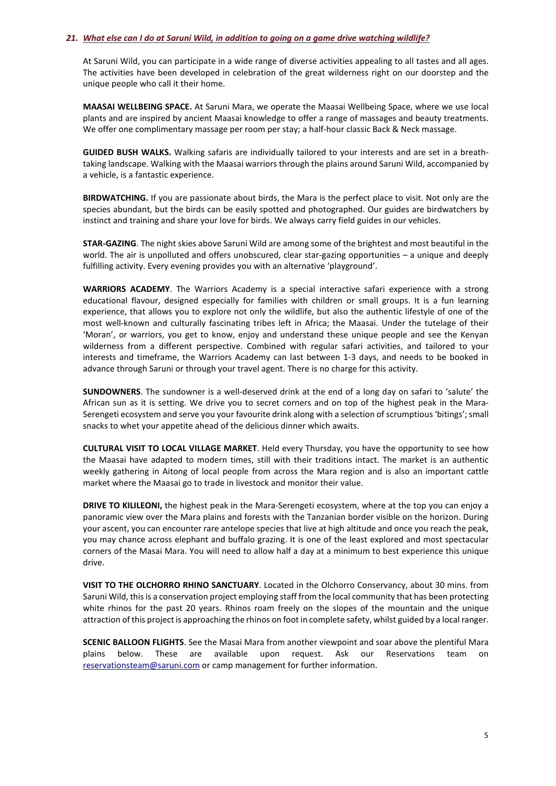#### 21. What else can I do at Saruni Wild, in addition to going on a game drive watching wildlife?

At Saruni Wild, you can participate in a wide range of diverse activities appealing to all tastes and all ages. The activities have been developed in celebration of the great wilderness right on our doorstep and the unique people who call it their home.

**MAASAI WELLBEING SPACE.** At Saruni Mara, we operate the Maasai Wellbeing Space, where we use local plants and are inspired by ancient Maasai knowledge to offer a range of massages and beauty treatments. We offer one complimentary massage per room per stay; a half-hour classic Back & Neck massage.

**GUIDED BUSH WALKS.** Walking safaris are individually tailored to your interests and are set in a breathtaking landscape. Walking with the Maasai warriors through the plains around Saruni Wild, accompanied by a vehicle, is a fantastic experience.

**BIRDWATCHING.** If you are passionate about birds, the Mara is the perfect place to visit. Not only are the species abundant, but the birds can be easily spotted and photographed. Our guides are birdwatchers by instinct and training and share your love for birds. We always carry field guides in our vehicles.

**STAR-GAZING**. The night skies above Saruni Wild are among some of the brightest and most beautiful in the world. The air is unpolluted and offers unobscured, clear star-gazing opportunities – a unique and deeply fulfilling activity. Every evening provides you with an alternative 'playground'.

**WARRIORS ACADEMY**. The Warriors Academy is a special interactive safari experience with a strong educational flavour, designed especially for families with children or small groups. It is a fun learning experience, that allows you to explore not only the wildlife, but also the authentic lifestyle of one of the most well-known and culturally fascinating tribes left in Africa; the Maasai. Under the tutelage of their 'Moran', or warriors, you get to know, enjoy and understand these unique people and see the Kenyan wilderness from a different perspective. Combined with regular safari activities, and tailored to your interests and timeframe, the Warriors Academy can last between 1-3 days, and needs to be booked in advance through Saruni or through your travel agent. There is no charge for this activity.

**SUNDOWNERS**. The sundowner is a well-deserved drink at the end of a long day on safari to 'salute' the African sun as it is setting. We drive you to secret corners and on top of the highest peak in the Mara-Serengeti ecosystem and serve you your favourite drink along with a selection of scrumptious 'bitings'; small snacks to whet your appetite ahead of the delicious dinner which awaits.

**CULTURAL VISIT TO LOCAL VILLAGE MARKET**. Held every Thursday, you have the opportunity to see how the Maasai have adapted to modern times, still with their traditions intact. The market is an authentic weekly gathering in Aitong of local people from across the Mara region and is also an important cattle market where the Maasai go to trade in livestock and monitor their value.

**DRIVE TO KILILEONI,** the highest peak in the Mara-Serengeti ecosystem, where at the top you can enjoy a panoramic view over the Mara plains and forests with the Tanzanian border visible on the horizon. During your ascent, you can encounter rare antelope species that live at high altitude and once you reach the peak, you may chance across elephant and buffalo grazing. It is one of the least explored and most spectacular corners of the Masai Mara. You will need to allow half a day at a minimum to best experience this unique drive.

**VISIT TO THE OLCHORRO RHINO SANCTUARY**. Located in the Olchorro Conservancy, about 30 mins. from Saruni Wild, this is a conservation project employing staff from the local community that has been protecting white rhinos for the past 20 years. Rhinos roam freely on the slopes of the mountain and the unique attraction of this project is approaching the rhinos on foot in complete safety, whilst guided by a local ranger.

**SCENIC BALLOON FLIGHTS**. See the Masai Mara from another viewpoint and soar above the plentiful Mara plains below. These are available upon request. Ask our Reservations team on [reservationsteam@saruni.com](mailto:reservationsteam@saruni.com) or camp management for further information.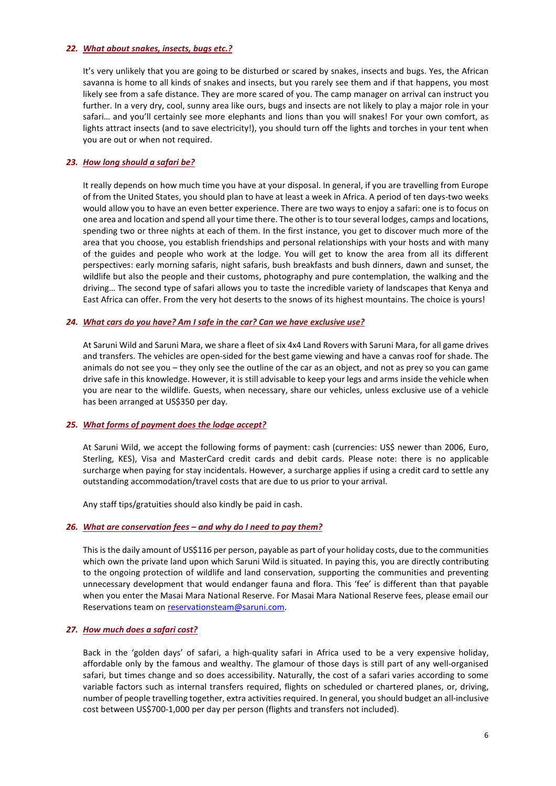#### *22. What about [snakes,](http://www.sarunimara.com/questions/13.htm) insects, bugs etc.?*

It's very unlikely that you are going to be disturbed or scared by snakes, insects and bugs. Yes, the African savanna is home to all kinds of snakes and insects, but you rarely see them and if that happens, you most likely see from a safe distance. They are more scared of you. The camp manager on arrival can instruct you further. In a very dry, cool, sunny area like ours, bugs and insects are not likely to play a major role in your safari… and you'll certainly see more elephants and lions than you will snakes! For your own comfort, as lights attract insects (and to save electricity!), you should turn off the lights and torches in your tent when you are out or when not required.

### *23. How long [should](http://www.sarunimara.com/questions/15.htm) a safari be?*

It really depends on how much time you have at your disposal. In general, if you are travelling from Europe of from the United States, you should plan to have at least a week in Africa. A period of ten days-two weeks would allow you to have an even better experience. There are two ways to enjoy a safari: one is to focus on one area and location and spend all your time there. The other is to tour several lodges, camps and locations, spending two or three nights at each of them. In the first instance, you get to discover much more of the area that you choose, you establish friendships and personal relationships with your hosts and with many of the guides and people who work at the lodge. You will get to know the area from all its different perspectives: early morning safaris, night safaris, bush breakfasts and bush dinners, dawn and sunset, the wildlife but also the people and their customs, photography and pure contemplation, the walking and the driving… The second type of safari allows you to taste the incredible variety of landscapes that Kenya and East Africa can offer. From the very hot deserts to the snows of its highest mountains. The choice is yours!

### *24. What cars do you have? Am I safe in the car? Can we have exclusive use?*

At Saruni Wild and Saruni Mara, we share a fleet of six 4x4 Land Rovers with Saruni Mara, for all game drives and transfers. The vehicles are open-sided for the best game viewing and have a canvas roof for shade. The animals do not see you – they only see the outline of the car as an object, and not as prey so you can game drive safe in this knowledge. However, it is still advisable to keep your legs and arms inside the vehicle when you are near to the wildlife. Guests, when necessary, share our vehicles, unless exclusive use of a vehicle has been arranged at US\$350 per day.

### *25. What forms of payment does the lodge accept?*

At Saruni Wild, we accept the following forms of payment: cash (currencies: US\$ newer than 2006, Euro, Sterling, KES), Visa and MasterCard credit cards and debit cards. Please note: there is no applicable surcharge when paying for stay incidentals. However, a surcharge applies if using a credit card to settle any outstanding accommodation/travel costs that are due to us prior to your arrival.

Any staff tips/gratuities should also kindly be paid in cash.

#### *26. What are conservation fees – and why do I need to pay them?*

This is the daily amount of US\$116 per person, payable as part of your holiday costs, due to the communities which own the private land upon which Saruni Wild is situated. In paying this, you are directly contributing to the ongoing protection of wildlife and land conservation, supporting the communities and preventing unnecessary development that would endanger fauna and flora. This 'fee' is different than that payable when you enter the Masai Mara National Reserve. For Masai Mara National Reserve fees, please email our Reservations team o[n reservationsteam@saruni.com.](mailto:reservationsteam@saruni.com)

### *27. How much does a [safari](http://www.sarunimara.com/questions/17.htm) cost?*

Back in the 'golden days' of safari, a high-quality safari in Africa used to be a very expensive holiday, affordable only by the famous and wealthy. The glamour of those days is still part of any well-organised safari, but times change and so does accessibility. Naturally, the cost of a safari varies according to some variable factors such as internal transfers required, flights on scheduled or chartered planes, or, driving, number of people travelling together, extra activities required. In general, you should budget an all-inclusive cost between US\$700-1,000 per day per person (flights and transfers not included).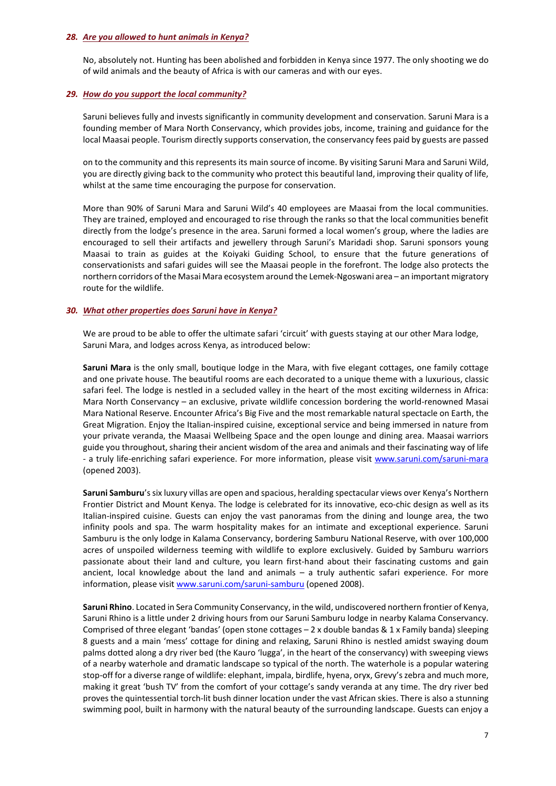#### *28. Are you [allowed](http://www.sarunimara.com/questions/18.htm) to hunt animals in Kenya?*

No, absolutely not. Hunting has been abolished and forbidden in Kenya since 1977. The only shooting we do of wild animals and the beauty of Africa is with our cameras and with our eyes.

### *29. How do you support the local community?*

Saruni believes fully and invests significantly in community development and conservation. Saruni Mara is a founding member of Mara North Conservancy, which provides jobs, income, training and guidance for the local Maasai people. Tourism directly supports conservation, the conservancy fees paid by guests are passed

on to the community and this represents its main source of income. By visiting Saruni Mara and Saruni Wild, you are directly giving back to the community who protect this beautiful land, improving their quality of life, whilst at the same time encouraging the purpose for conservation.

More than 90% of Saruni Mara and Saruni Wild's 40 employees are Maasai from the local communities. They are trained, employed and encouraged to rise through the ranks so that the local communities benefit directly from the lodge's presence in the area. Saruni formed a local women's group, where the ladies are encouraged to sell their artifacts and jewellery through Saruni's Maridadi shop. Saruni sponsors young Maasai to train as guides at the Koiyaki Guiding School, to ensure that the future generations of conservationists and safari guides will see the Maasai people in the forefront. The lodge also protects the northern corridors of the Masai Mara ecosystem around the Lemek-Ngoswani area – an important migratory route for the wildlife.

#### *30. What other properties does Saruni have in Kenya?*

We are proud to be able to offer the ultimate safari 'circuit' with guests staying at our other Mara lodge, Saruni Mara, and lodges across Kenya, as introduced below:

**Saruni Mara** is the only small, boutique lodge in the Mara, with five elegant cottages, one family cottage and one private house. The beautiful rooms are each decorated to a unique theme with a luxurious, classic safari feel. The lodge is nestled in a secluded valley in the heart of the most exciting wilderness in Africa: Mara North Conservancy – an exclusive, private wildlife concession bordering the world-renowned Masai Mara National Reserve. Encounter Africa's Big Five and the most remarkable natural spectacle on Earth, the Great Migration. Enjoy the Italian-inspired cuisine, exceptional service and being immersed in nature from your private veranda, the Maasai Wellbeing Space and the open lounge and dining area. Maasai warriors guide you throughout, sharing their ancient wisdom of the area and animals and their fascinating way of life - a truly life-enriching safari experience. For more information, please visit www.saruni.com/saruni-mara (opened 2003).

**Saruni Samburu**'s six luxury villas are open and spacious, heralding spectacular views over Kenya's Northern Frontier District and Mount Kenya. The lodge is celebrated for its innovative, eco-chic design as well as its Italian-inspired cuisine. Guests can enjoy the vast panoramas from the dining and lounge area, the two infinity pools and spa. The warm hospitality makes for an intimate and exceptional experience. Saruni Samburu is the only lodge in Kalama Conservancy, bordering Samburu National Reserve, with over 100,000 acres of unspoiled wilderness teeming with wildlife to explore exclusively. Guided by Samburu warriors passionate about their land and culture, you learn first-hand about their fascinating customs and gain ancient, local knowledge about the land and animals  $-$  a truly authentic safari experience. For more information, please visit www.saruni.com/saruni-samburu (opened 2008).

**Saruni Rhino**. Located in Sera Community Conservancy, in the wild, undiscovered northern frontier of Kenya, Saruni Rhino is a little under 2 driving hours from our Saruni Samburu lodge in nearby Kalama Conservancy. Comprised of three elegant 'bandas' (open stone cottages – 2 x double bandas & 1 x Family banda) sleeping 8 guests and a main 'mess' cottage for dining and relaxing, Saruni Rhino is nestled amidst swaying doum palms dotted along a dry river bed (the Kauro 'lugga', in the heart of the conservancy) with sweeping views of a nearby waterhole and dramatic landscape so typical of the north. The waterhole is a popular watering stop-off for a diverse range of wildlife: elephant, impala, birdlife, hyena, oryx, Grevy's zebra and much more, making it great 'bush TV' from the comfort of your cottage's sandy veranda at any time. The dry river bed proves the quintessential torch-lit bush dinner location under the vast African skies. There is also a stunning swimming pool, built in harmony with the natural beauty of the surrounding landscape. Guests can enjoy a